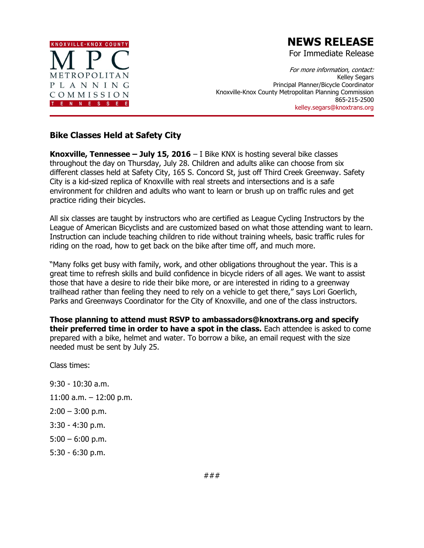

## **NEWS RELEASE**

For Immediate Release

For more information, contact: Kelley Segars Principal Planner/Bicycle Coordinator Knoxville-Knox County Metropolitan Planning Commission 865-215-2500 kelley.segars@knoxtrans.org

## **Bike Classes Held at Safety City**

**Knoxville, Tennessee – July 15, 2016** – I Bike KNX is hosting several bike classes throughout the day on Thursday, July 28. Children and adults alike can choose from six different classes held at Safety City, 165 S. Concord St, just off Third Creek Greenway. Safety City is a kid-sized replica of Knoxville with real streets and intersections and is a safe environment for children and adults who want to learn or brush up on traffic rules and get practice riding their bicycles.

All six classes are taught by instructors who are certified as League Cycling Instructors by the League of American Bicyclists and are customized based on what those attending want to learn. Instruction can include teaching children to ride without training wheels, basic traffic rules for riding on the road, how to get back on the bike after time off, and much more.

"Many folks get busy with family, work, and other obligations throughout the year. This is a great time to refresh skills and build confidence in bicycle riders of all ages. We want to assist those that have a desire to ride their bike more, or are interested in riding to a greenway trailhead rather than feeling they need to rely on a vehicle to get there," says Lori Goerlich, Parks and Greenways Coordinator for the City of Knoxville, and one of the class instructors.

**Those planning to attend must RSVP to ambassadors@knoxtrans.org and specify their preferred time in order to have a spot in the class.** Each attendee is asked to come prepared with a bike, helmet and water. To borrow a bike, an email request with the size needed must be sent by July 25.

Class times:

9:30 - 10:30 a.m. 11:00 a.m. – 12:00 p.m.  $2:00 - 3:00$  p.m. 3:30 - 4:30 p.m.  $5:00 - 6:00$  p.m. 5:30 - 6:30 p.m.